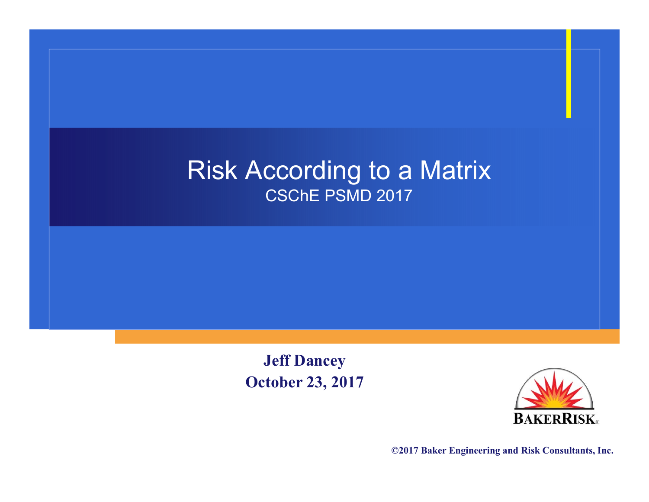#### Risk According to a Matrix CSChE PSMD 2017

**Jeff Dancey October 23, 2017**



**©2017 Baker Engineering and Risk Consultants, Inc.**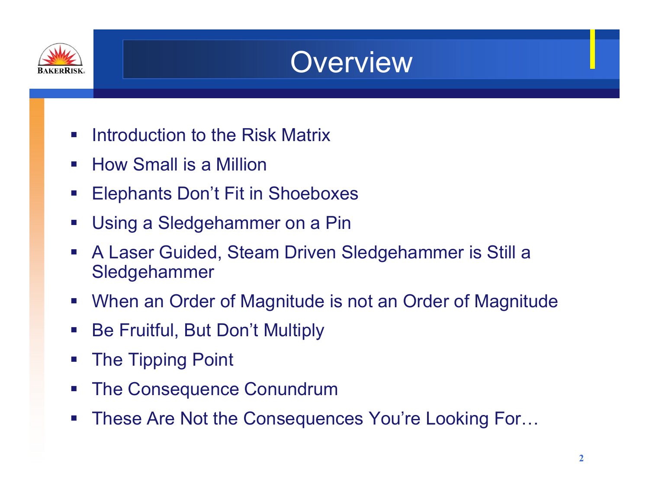

#### **Overview**

- $\mathcal{L}_{\mathcal{A}}$ Introduction to the Risk Matrix
- $\mathcal{L}_{\mathcal{A}}$ How Small is a Million
- $\mathcal{L}_{\mathcal{A}}$ Elephants Don't Fit in Shoeboxes
- $\mathcal{L}_{\mathcal{A}}$ Using a Sledgehammer on a Pin
- $\mathbb{R}^n$  A Laser Guided, Steam Driven Sledgehammer is Still a Sledgehammer
- $\mathcal{L}_{\mathcal{A}}$ When an Order of Magnitude is not an Order of Magnitude
- $\mathcal{L}_{\mathcal{A}}$ Be Fruitful, But Don't Multiply
- $\mathcal{L}_{\mathcal{A}}$ The Tipping Point
- $\mathcal{L}_{\mathcal{A}}$ The Consequence Conundrum
- $\mathcal{L}_{\mathcal{A}}$ These Are Not the Consequences You're Looking For…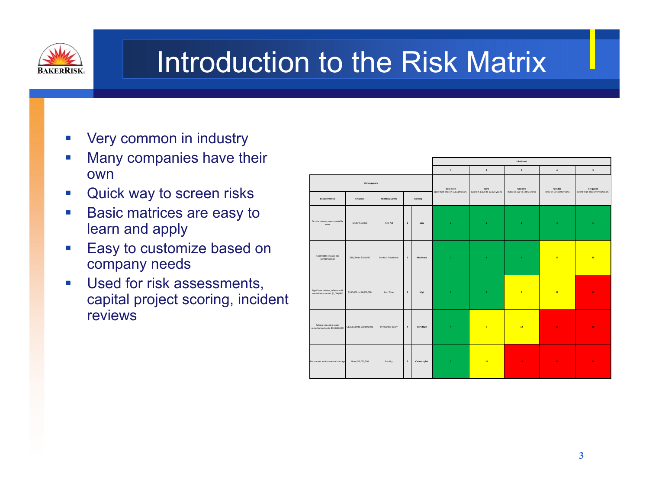

#### Introduction to the Risk Matrix

- $\mathcal{C}$ Very common in industry
- $\mathcal{C}^{\mathcal{A}}$  Many companies have their own
- $\mathcal{A}$ Quick way to screen risks
- $\Box$  Basic matrices are easy to learn and apply
- $\mathbb{R}^n$  Easy to customize based on company needs
- $\mathcal{C}^{\mathcal{A}}$  Used for risk assessments, capital project scoring, incident reviews

|                                                                    |                             |                            |                         |              | Likelihood                                     |                                         |                                          |                                       |                                             |  |
|--------------------------------------------------------------------|-----------------------------|----------------------------|-------------------------|--------------|------------------------------------------------|-----------------------------------------|------------------------------------------|---------------------------------------|---------------------------------------------|--|
|                                                                    |                             |                            |                         |              | $\overline{1}$                                 | $\overline{2}$                          | $\overline{\mathbf{3}}$                  | $\ddot{a}$                            | $\overline{\phantom{a}}$                    |  |
| Environmental                                                      | Consequence<br>Financial    | <b>Health &amp; Safety</b> |                         | Ranking      | Very Rare<br>(Less than once in 100,000 years) | Rare<br>(Once in 1,000 to 10,000 years) | Unlikely<br>(Once in 100 to 1,000 years) | Possible<br>(Once in 10 to 100 years) | Frequent<br>(More than once every 10 years) |  |
|                                                                    |                             |                            |                         |              |                                                |                                         |                                          |                                       |                                             |  |
| On-site release, non-reportable<br>event                           | Under \$10,000              | First Aid                  | $\,$ 1 $\,$             | Low          | $\mathbf{1}$                                   | $\mathbf{z}$                            | $\bar{\mathbf{3}}$                       | $\overline{4}$                        | s.                                          |  |
| Reportable release, soil<br>contamination                          | \$10,000 to \$100,000       | Medical Treatment          | $\overline{2}$          | Moderate     | $\mathbf{z}$                                   | $\overline{a}$                          | 6 <sup>1</sup>                           | $\overline{\mathbf{3}}$               | 10                                          |  |
| Significant release, release with<br>remediation under \$1,000,000 | \$100,000 to \$1,000,000    | Lost Time                  | $\overline{\mathbf{3}}$ | High         | $\overline{\mathbf{3}}$                        | $\epsilon$                              | $\overline{9}$                           | 12                                    | 15 <sub>1</sub>                             |  |
| Release requiring major<br>remediation (up to \$10,000,000)        | \$1,000,000 to \$10,000,000 | Permanent Injury           | $\,$ 4 $\,$             | Very High    | $\ddot{\textbf{a}}$                            | $\overline{\mathbf{8}}$                 | 12                                       | 16                                    | 20                                          |  |
| Permanent environmental damage                                     | Over \$10,000,000           | Fatality                   | $\sf s$                 | Catastrophic | $\mathsf S$                                    | 10 <sub>2</sub>                         | 15 <sub>1</sub>                          | 20                                    | 25                                          |  |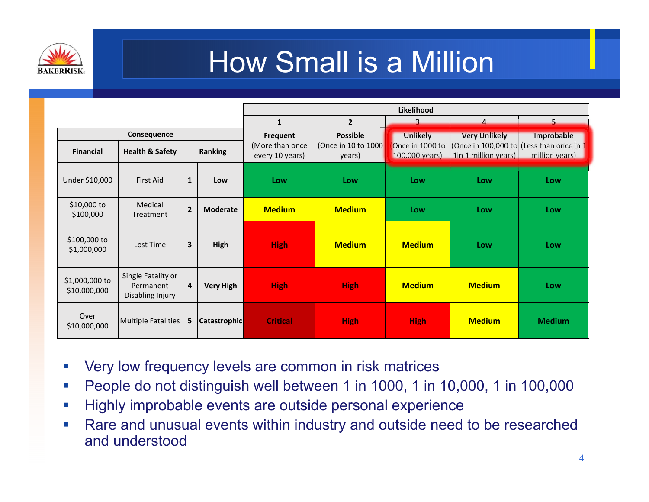

#### How Small is a Million

|                                                                                 |                                                     |                |                  |                                                |                                                  | Likelihood                                           |                                              |                                                                            |
|---------------------------------------------------------------------------------|-----------------------------------------------------|----------------|------------------|------------------------------------------------|--------------------------------------------------|------------------------------------------------------|----------------------------------------------|----------------------------------------------------------------------------|
|                                                                                 |                                                     |                |                  | $\mathbf{1}$                                   | $\overline{2}$                                   | $\overline{\mathbf{z}}$                              | $\Delta$                                     | 5.                                                                         |
| Consequence<br><b>Health &amp; Safety</b><br><b>Ranking</b><br><b>Financial</b> |                                                     |                |                  | Frequent<br>(More than once<br>every 10 years) | <b>Possible</b><br>(Once in 10 to 1000<br>years) | <b>Unlikely</b><br>Once in 1000 to<br>100,000 years) | <b>Very Unlikely</b><br>1in 1 million years) | Improbable<br>(Once in 100,000 to (Less than once in $1$<br>million years) |
| Under \$10,000                                                                  | <b>First Aid</b>                                    | $\mathbf{1}$   | Low              | Low                                            | Low                                              | Low                                                  | Low                                          | Low                                                                        |
| \$10,000 to<br>\$100,000                                                        | Medical<br>Treatment                                | $\overline{2}$ | <b>Moderate</b>  | <b>Medium</b>                                  | <b>Medium</b>                                    | Low                                                  | Low                                          | Low                                                                        |
| \$100,000 to<br>\$1,000,000                                                     | Lost Time                                           | $\mathbf{3}$   | High             | <b>High</b>                                    | <b>Medium</b>                                    | <b>Medium</b>                                        | Low                                          | Low                                                                        |
| \$1,000,000 to<br>\$10,000,000                                                  | Single Fatality or<br>Permanent<br>Disabling Injury | $\overline{a}$ | <b>Very High</b> | <b>High</b>                                    | <b>High</b>                                      | <b>Medium</b>                                        | <b>Medium</b>                                | Low                                                                        |
| Over<br>\$10,000,000                                                            | Multiple Fatalities                                 |                | 5 Catastrophic   | <b>Critical</b>                                | <b>High</b>                                      | <b>High</b>                                          | <b>Medium</b>                                | <b>Medium</b>                                                              |

- $\overline{\phantom{a}}$ Very low frequency levels are common in risk matrices
- $\mathbb{R}^n$ People do not distinguish well between 1 in 1000, 1 in 10,000, 1 in 100,000
- $\mathbb{R}^n$ Highly improbable events are outside personal experience
- $\mathbb{R}^n$  Rare and unusual events within industry and outside need to be researched and understood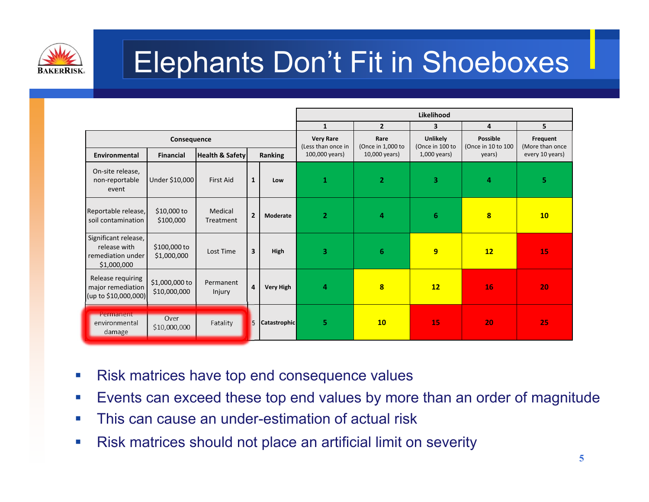

## Elephants Don't Fit in Shoeboxes

|                                                                          |                                                                          |                      |                         |                  | Likelihood                                               |                                            |                                               |                                                 |                                                |  |  |  |  |
|--------------------------------------------------------------------------|--------------------------------------------------------------------------|----------------------|-------------------------|------------------|----------------------------------------------------------|--------------------------------------------|-----------------------------------------------|-------------------------------------------------|------------------------------------------------|--|--|--|--|
|                                                                          |                                                                          |                      |                         |                  | $\mathbf{1}$                                             | $\overline{2}$                             | 3                                             | 4                                               | 5                                              |  |  |  |  |
| Environmental                                                            | Consequence<br><b>Health &amp; Safety</b><br>Ranking<br><b>Financial</b> |                      |                         |                  | <b>Very Rare</b><br>(Less than once in<br>100,000 years) | Rare<br>(Once in 1,000 to<br>10,000 years) | Unlikely<br>(Once in 100 to<br>$1,000$ years) | <b>Possible</b><br>(Once in 10 to 100<br>years) | Frequent<br>(More than once<br>every 10 years) |  |  |  |  |
| On-site release,<br>non-reportable<br>event                              | Under \$10,000                                                           | <b>First Aid</b>     | $\mathbf{1}$            | Low              | 1                                                        | $\overline{2}$                             | 3                                             | 4                                               | 5                                              |  |  |  |  |
| Reportable release,<br>soil contamination                                | $$10,000$ to<br>\$100,000                                                | Medical<br>Treatment | $\overline{2}$          | Moderate         | $\overline{2}$                                           | 4                                          | 6                                             | 8                                               | 10                                             |  |  |  |  |
| Significant release,<br>release with<br>remediation under<br>\$1,000,000 | \$100,000 to<br>\$1,000,000                                              | Lost Time            | $\overline{\mathbf{3}}$ | High             | 3                                                        | $6\phantom{1}$                             | 9                                             | 12                                              | 15                                             |  |  |  |  |
| Release requiring<br>major remediation<br>(up to \$10,000,000)           | \$1,000,000 to<br>\$10,000,000                                           | Permanent<br>Injury  | 4                       | <b>Very High</b> | 4                                                        | $\bf{8}$                                   | 12                                            | 16                                              | 20                                             |  |  |  |  |
| Permanent<br>environmental<br>damage                                     | Over<br>\$10,000,000                                                     | Fatality             | 5                       | Catastrophic     | 5                                                        | 10                                         | 15                                            | 20                                              | 25                                             |  |  |  |  |

- $\mathcal{L}_{\mathcal{A}}$ Risk matrices have top end consequence values
- $\mathcal{C}$ Events can exceed these top end values by more than an order of magnitude
- $\mathcal{L}_{\mathcal{A}}$ This can cause an under-estimation of actual risk
- m. Risk matrices should not place an artificial limit on severity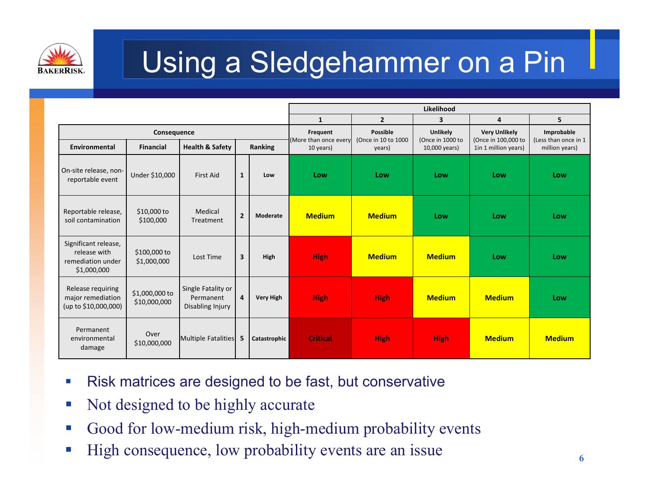

# Using a Sledgehammer on a Pin

|                                                                          |                                |                                                     |                         |                  | Likelihood                        |                                 |                                     |                                             |                                    |  |  |  |
|--------------------------------------------------------------------------|--------------------------------|-----------------------------------------------------|-------------------------|------------------|-----------------------------------|---------------------------------|-------------------------------------|---------------------------------------------|------------------------------------|--|--|--|
|                                                                          |                                |                                                     |                         |                  | 1                                 | $\overline{2}$                  | 3                                   | 4                                           | 5                                  |  |  |  |
|                                                                          | Consequence                    |                                                     |                         |                  | Frequent<br>(More than once every | Possible<br>(Once in 10 to 1000 | <b>Unlikely</b><br>(Once in 1000 to | <b>Very Unlikely</b><br>(Once in 100,000 to | Improbable<br>(Less than once in 1 |  |  |  |
| Environmental                                                            | <b>Financial</b>               | Health & Safety                                     |                         | Ranking          | 10 years)                         | years)                          | 10,000 years)                       | 1in 1 million years)                        | million years)                     |  |  |  |
| On-site release, non-<br>reportable event                                | Under \$10,000                 | <b>First Aid</b>                                    | $\mathbf{1}$            | Low              | Low                               | Low                             | Low                                 | Low                                         | Low                                |  |  |  |
| Reportable release,<br>soil contamination                                | \$10,000 to<br>\$100,000       | Medical<br>Treatment                                | $\overline{2}$          | Moderate         | <b>Medium</b>                     | <b>Medium</b>                   | Low                                 | Low                                         | Low                                |  |  |  |
| Significant release,<br>release with<br>remediation under<br>\$1,000,000 | \$100,000 to<br>\$1,000,000    | Lost Time                                           | $\overline{\mathbf{3}}$ | High             | <b>High</b>                       | <b>Medium</b>                   | <b>Medium</b>                       | Low                                         | Low                                |  |  |  |
| Release requiring<br>major remediation<br>(up to \$10,000,000)           | \$1,000,000 to<br>\$10,000,000 | Single Fatality or<br>Permanent<br>Disabling Injury | $\overline{4}$          | <b>Very High</b> | <b>High</b>                       | <b>High</b>                     | <b>Medium</b>                       | <b>Medium</b>                               | Low                                |  |  |  |
| Permanent<br>environmental<br>damage                                     | Over<br>\$10,000,000           | Multiple Fatalities                                 | 5                       | Catastrophic     | <b>Critical</b>                   | <b>High</b>                     | <b>High</b>                         | <b>Medium</b>                               | <b>Medium</b>                      |  |  |  |

- $\mathcal{C}$ Risk matrices are designed to be fast, but conservative
- $\mathbb{R}^n$ Not designed to be highly accurate
- Good for low-medium risk, high-medium probability events
- High consequence, low probability events are an issue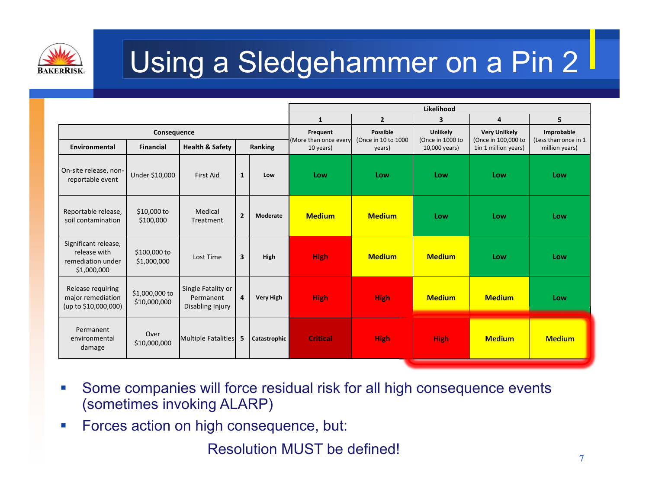

# Using a Sledgehammer on a Pin 2

|                                                                          |                                |                                                     |                |                  | Likelihood                        |                                         |                                     |                                             |                                    |  |  |
|--------------------------------------------------------------------------|--------------------------------|-----------------------------------------------------|----------------|------------------|-----------------------------------|-----------------------------------------|-------------------------------------|---------------------------------------------|------------------------------------|--|--|
|                                                                          |                                |                                                     |                |                  | $\mathbf{1}$                      | $\overline{2}$                          | 3                                   | 4                                           | 5                                  |  |  |
|                                                                          | Consequence                    |                                                     |                |                  | Frequent<br>(More than once every | <b>Possible</b><br>(Once in 10 to 1000) | <b>Unlikely</b><br>(Once in 1000 to | <b>Very Unlikely</b><br>(Once in 100,000 to | Improbable<br>(Less than once in 1 |  |  |
| Environmental                                                            | <b>Financial</b>               | <b>Health &amp; Safety</b>                          |                | Ranking          | 10 years)                         | years)                                  | 10,000 years)                       | 1in 1 million years)                        | million years)                     |  |  |
| On-site release, non-<br>reportable event                                | Under \$10,000                 | <b>First Aid</b>                                    | $\mathbf{1}$   | Low              | Low                               | Low                                     | Low                                 | Low                                         | Low                                |  |  |
| Reportable release,<br>soil contamination                                | \$10,000 to<br>\$100,000       | Medical<br>Treatment                                | $\overline{2}$ | Moderate         | <b>Medium</b>                     | <b>Medium</b>                           | Low                                 | Low                                         | Low                                |  |  |
| Significant release,<br>release with<br>remediation under<br>\$1,000,000 | \$100,000 to<br>\$1,000,000    | Lost Time                                           | $\overline{3}$ | High             | <b>High</b>                       | <b>Medium</b>                           | <b>Medium</b>                       | Low                                         | Low                                |  |  |
| Release requiring<br>major remediation<br>(up to \$10,000,000)           | \$1,000,000 to<br>\$10,000,000 | Single Fatality or<br>Permanent<br>Disabling Injury | 4              | <b>Very High</b> | <b>High</b>                       | <b>High</b>                             | <b>Medium</b>                       | <b>Medium</b>                               | Low                                |  |  |
| Permanent<br>environmental<br>damage                                     | Over<br>\$10,000,000           | Multiple Fatalities                                 | 5              | Catastrophic     | <b>Critical</b>                   | <b>High</b>                             | <b>High</b>                         | <b>Medium</b>                               | <b>Medium</b>                      |  |  |

- $\mathcal{L}_{\mathcal{A}}$  Some companies will force residual risk for all high consequence events (sometimes invoking ALARP)
- $\mathbb{R}^n$ Forces action on high consequence, but:

Resolution MUST be defined!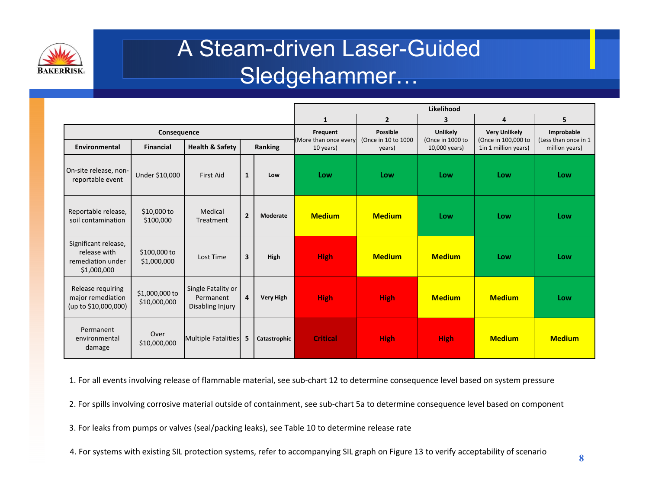

#### A Steam-driven Laser-Guided Sledgehammer…

|                                                                          |                                |                                                     |                         |                  | Likelihood                        |                                 |                              |                                             |                                    |  |  |  |
|--------------------------------------------------------------------------|--------------------------------|-----------------------------------------------------|-------------------------|------------------|-----------------------------------|---------------------------------|------------------------------|---------------------------------------------|------------------------------------|--|--|--|
|                                                                          |                                |                                                     |                         |                  | $\mathbf{1}$                      | $\overline{2}$                  | 3                            | 4                                           | 5                                  |  |  |  |
|                                                                          | Consequence                    |                                                     |                         |                  | Frequent<br>(More than once every | Possible<br>(Once in 10 to 1000 | Unlikely<br>(Once in 1000 to | <b>Very Unlikely</b><br>(Once in 100,000 to | Improbable<br>(Less than once in 1 |  |  |  |
| Environmental                                                            | <b>Financial</b>               | <b>Health &amp; Safety</b>                          |                         | Ranking          | 10 years)                         | years)                          | 10,000 years)                | 1in 1 million years)                        | million years)                     |  |  |  |
| On-site release, non-<br>reportable event                                | Under \$10,000                 | <b>First Aid</b>                                    | $\mathbf{1}$            | Low              | Low                               | Low                             | Low                          | Low                                         | Low                                |  |  |  |
| Reportable release,<br>soil contamination                                | \$10,000 to<br>\$100,000       | Medical<br>Treatment                                | $\overline{2}$          | Moderate         | <b>Medium</b>                     | <b>Medium</b>                   | Low                          | Low                                         | Low                                |  |  |  |
| Significant release,<br>release with<br>remediation under<br>\$1,000,000 | \$100,000 to<br>\$1,000,000    | Lost Time                                           | $\overline{\mathbf{3}}$ | High             | <b>High</b>                       | <b>Medium</b>                   | <b>Medium</b>                | Low                                         | Low                                |  |  |  |
| Release requiring<br>major remediation<br>(up to \$10,000,000)           | \$1,000,000 to<br>\$10,000,000 | Single Fatality or<br>Permanent<br>Disabling Injury | $\overline{4}$          | <b>Very High</b> | <b>High</b>                       | <b>High</b>                     | <b>Medium</b>                | <b>Medium</b>                               | Low                                |  |  |  |
| Permanent<br>environmental<br>damage                                     | Over<br>\$10,000,000           | Multiple Fatalities                                 | 5                       | Catastrophic     | <b>Critical</b>                   | <b>High</b>                     | <b>High</b>                  | <b>Medium</b>                               | <b>Medium</b>                      |  |  |  |

1. For all events involving release of flammable material, see sub‐chart 12 to determine consequence level based on system pressure

2. For spills involving corrosive material outside of containment, see sub‐chart 5a to determine consequence level based on component

3. For leaks from pumps or valves (seal/packing leaks), see Table 10 to determine release rate

4. For systems with existing SIL protection systems, refer to accompanying SIL graph on Figure 13 to verify acceptability of scenario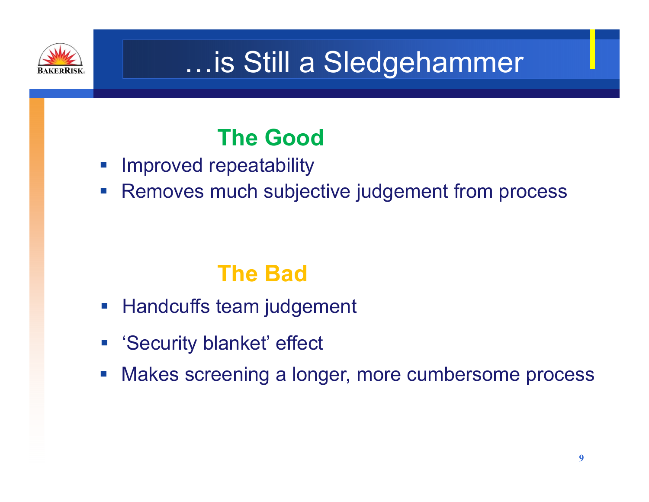

### …is Still a Sledgehammer

#### **The Good**

- $\mathbb{R}^3$ Improved repeatability
- $\mathcal{L}_{\mathcal{A}}$ Removes much subjective judgement from process

#### **The Bad**

- $\mathcal{L}_{\mathcal{A}}$ Handcuffs team judgement
- $\mathcal{L}_{\mathcal{A}}$ 'Security blanket' effect
- $\mathcal{L}_{\mathcal{A}}$ Makes screening a longer, more cumbersome process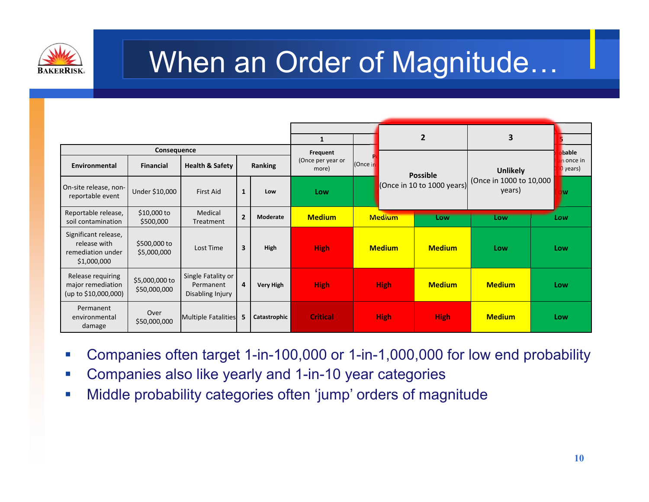

#### When an Order of Magnitude…

|                                                                          |                                |                                                     |                         |              | 1                                      |  |                 |                            | 2                                 | 3             |                     |       |
|--------------------------------------------------------------------------|--------------------------------|-----------------------------------------------------|-------------------------|--------------|----------------------------------------|--|-----------------|----------------------------|-----------------------------------|---------------|---------------------|-------|
|                                                                          | Consequence                    |                                                     |                         |              | Frequent                               |  |                 |                            |                                   |               |                     | bable |
| Environmental                                                            | <b>Financial</b>               | <b>Health &amp; Safety</b>                          |                         | Ranking      | (Once per year or<br>(Once in<br>more) |  | <b>Possible</b> |                            | <b>Unlikely</b>                   |               | n once in<br>years) |       |
| On-site release, non-<br>reportable event                                | Under \$10,000                 | <b>First Aid</b>                                    | 1                       | Low          | Low                                    |  |                 | (Once in 10 to 1000 years) | (Once in 1000 to 10,000<br>years) |               | jw                  |       |
| Reportable release,<br>soil contamination                                | $$10,000$ to<br>\$500,000      | Medical<br>Treatment                                | $\overline{2}$          | Moderate     | <b>Medium</b>                          |  |                 | <b>Medium</b>              | Low                               | Low           |                     | Low   |
| Significant release,<br>release with<br>remediation under<br>\$1,000,000 | \$500,000 to<br>\$5,000,000    | Lost Time                                           | $\overline{\mathbf{3}}$ | High         | <b>High</b>                            |  |                 | <b>Medium</b>              | <b>Medium</b>                     | Low           |                     | Low   |
| Release requiring<br>major remediation<br>(up to \$10,000,000)           | \$5,000,000 to<br>\$50,000,000 | Single Fatality or<br>Permanent<br>Disabling Injury | 4                       | Very High    | <b>High</b>                            |  |                 | <b>High</b>                | <b>Medium</b>                     | <b>Medium</b> |                     | Low   |
| Permanent<br>environmental<br>damage                                     | Over<br>\$50,000,000           | Multiple Fatalities                                 | -5                      | Catastrophic | <b>Critical</b>                        |  |                 | <b>High</b>                | <b>High</b>                       | <b>Medium</b> |                     | Low   |

- $\mathcal{L}_{\mathcal{A}}$ Companies often target 1-in-100,000 or 1-in-1,000,000 for low end probability
- $\mathcal{L}$ Companies also like yearly and 1-in-10 year categories
- $\mathcal{L}_{\mathcal{A}}$ Middle probability categories often 'jump' orders of magnitude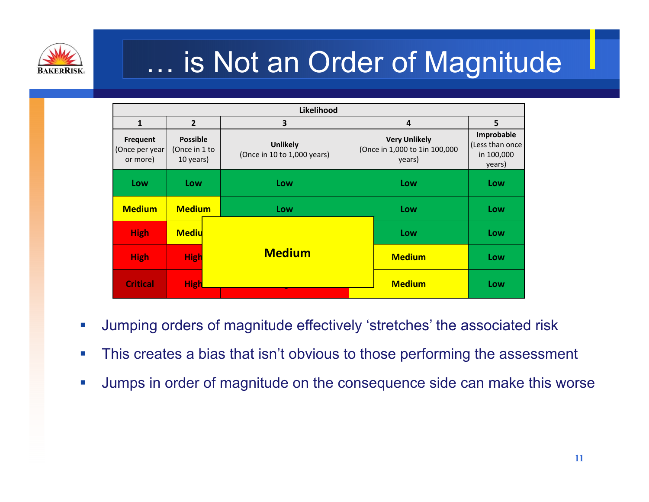

## … is Not an Order of Magnitude

|                                               |                                               | Likelihood                                     |               |                                                                 |                                                       |  |  |  |     |
|-----------------------------------------------|-----------------------------------------------|------------------------------------------------|---------------|-----------------------------------------------------------------|-------------------------------------------------------|--|--|--|-----|
| 1                                             | $\overline{2}$                                | 3                                              |               | 4                                                               | 5                                                     |  |  |  |     |
| <b>Frequent</b><br>(Once per year<br>or more) | <b>Possible</b><br>(Once in 1 to<br>10 years) | <b>Unlikely</b><br>(Once in 10 to 1,000 years) |               | <b>Very Unlikely</b><br>(Once in 1,000 to 1in 100,000<br>years) | Improbable<br>(Less than once<br>in 100,000<br>years) |  |  |  |     |
| Low                                           | Low                                           | Low                                            | Low           |                                                                 |                                                       |  |  |  | Low |
| <b>Medium</b>                                 | <b>Medium</b>                                 | Low                                            |               | Low                                                             | Low                                                   |  |  |  |     |
| <b>High</b>                                   | <b>Mediu</b>                                  |                                                |               | Low                                                             | Low                                                   |  |  |  |     |
| <b>High</b>                                   | <b>High</b>                                   | <b>Medium</b>                                  | <b>Medium</b> |                                                                 | Low                                                   |  |  |  |     |
| <b>Critical</b>                               | <b>High</b>                                   |                                                |               | <b>Medium</b>                                                   | Low                                                   |  |  |  |     |

- $\mathbb{R}^n$ Jumping orders of magnitude effectively 'stretches' the associated risk
- $\mathcal{C}^{\mathcal{A}}$ This creates a bias that isn't obvious to those performing the assessment
- $\mathcal{A}$ Jumps in order of magnitude on the consequence side can make this worse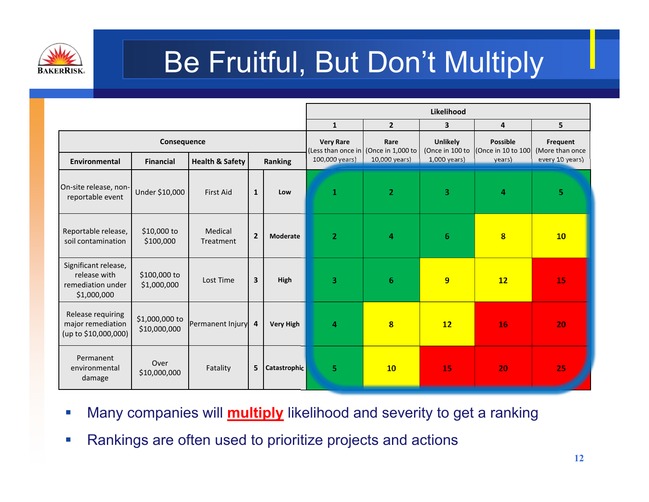

## Be Fruitful, But Don't Multiply

|                                                                          |                                |                            |                         |                     | Likelihood                             |                           |                                    |                                       |                                    |  |  |
|--------------------------------------------------------------------------|--------------------------------|----------------------------|-------------------------|---------------------|----------------------------------------|---------------------------|------------------------------------|---------------------------------------|------------------------------------|--|--|
|                                                                          |                                |                            |                         |                     | $\mathbf{1}$                           | $\overline{2}$            | 3                                  | 4                                     | 5                                  |  |  |
|                                                                          | Consequence                    |                            |                         |                     | <b>Very Rare</b><br>(Less than once in | Rare<br>(Once in 1,000 to | <b>Unlikely</b><br>(Once in 100 to | <b>Possible</b><br>(Once in 10 to 100 | <b>Frequent</b><br>(More than once |  |  |
| Environmental                                                            | <b>Financial</b>               | <b>Health &amp; Safety</b> |                         | <b>Ranking</b>      | 100,000 years)                         | 10,000 years)             | $1,000$ years)                     | years)                                | every 10 years)                    |  |  |
| On-site release, non-<br>reportable event                                | Under \$10,000                 | <b>First Aid</b>           | $\mathbf{1}$            | Low                 | $\mathbf 1$                            | $\overline{2}$            | 3                                  | 4                                     | 5                                  |  |  |
| Reportable release,<br>soil contamination                                | \$10,000 to<br>\$100,000       | Medical<br>Treatment       | $\overline{2}$          | <b>Moderate</b>     | $\overline{2}$                         | 4                         | $6\phantom{1}6$                    | $\overline{\mathbf{8}}$               | 10                                 |  |  |
| Significant release,<br>release with<br>remediation under<br>\$1,000,000 | \$100,000 to<br>\$1,000,000    | Lost Time                  | $\overline{\mathbf{3}}$ | High                | 3                                      | $6\phantom{1}$            | 9                                  | 12                                    | 15                                 |  |  |
| Release requiring<br>major remediation<br>(up to \$10,000,000)           | \$1,000,000 to<br>\$10,000,000 | Permanent Injury           | 4                       | <b>Very High</b>    | $\overline{a}$                         | $\overline{\mathbf{8}}$   | 12                                 | 16                                    | 20                                 |  |  |
| Permanent<br>environmental<br>damage                                     | Over<br>\$10,000,000           | Fatality                   | 5                       | <b>Catastrophic</b> | $\overline{5}$                         | 10                        | 15                                 | 20                                    | 25                                 |  |  |

- L Many companies will **multiply** likelihood and severity to get a ranking
- $\Box$ Rankings are often used to prioritize projects and actions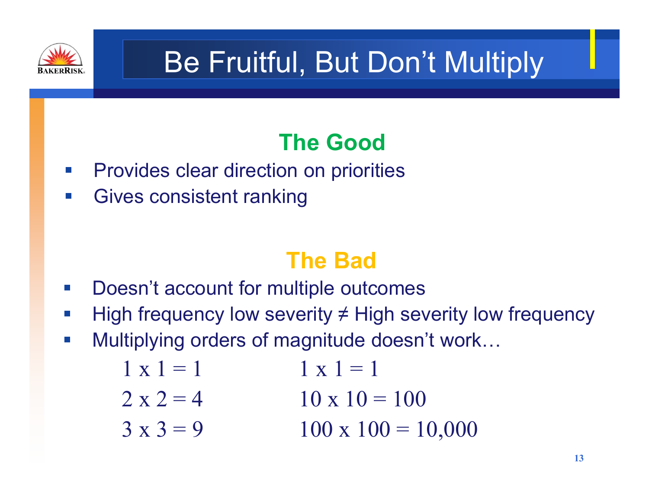

## Be Fruitful, But Don't Multiply

#### **The Good**

- $\mathcal{L}_{\mathcal{A}}$ Provides clear direction on priorities
- $\mathcal{L}_{\mathcal{A}}$ Gives consistent ranking

#### **The Bad**

- $\mathcal{L}_{\mathcal{A}}$ Doesn't account for multiple outcomes
- $\mathcal{L}_{\mathcal{A}}$ High frequency low severity  $\neq$  High severity low frequency
- $\mathcal{L}_{\mathcal{A}}$ Multiplying orders of magnitude doesn't work…

$$
1 \times 1 = 1
$$
  
\n
$$
2 \times 2 = 4
$$
  
\n
$$
1 \times 1 = 1
$$
  
\n
$$
10 \times 10 = 100
$$
  
\n
$$
100 = 100
$$

 $3 \times 3 = 9$  100  $\times 100 = 10,000$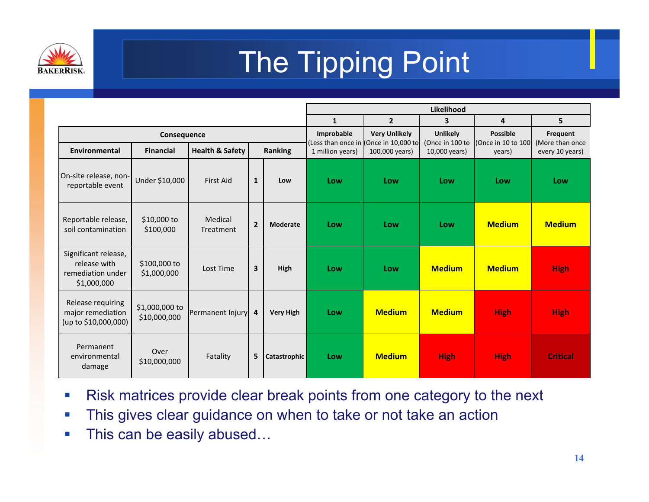

# The Tipping Point

|                                                                          |                                |                            |                |                  | Likelihood                       |                                            |                                    |                                       |                             |  |
|--------------------------------------------------------------------------|--------------------------------|----------------------------|----------------|------------------|----------------------------------|--------------------------------------------|------------------------------------|---------------------------------------|-----------------------------|--|
|                                                                          |                                |                            |                |                  | $\mathbf{1}$                     | $\overline{2}$                             | $\overline{\mathbf{3}}$            | 4                                     | 5                           |  |
|                                                                          | Consequence                    |                            |                |                  | Improbable<br>(Less than once in | <b>Very Unlikely</b><br>(Once in 10,000 to | <b>Unlikely</b><br>(Once in 100 to | <b>Possible</b><br>(Once in 10 to 100 | Frequent<br>(More than once |  |
| <b>Environmental</b>                                                     | <b>Financial</b>               | <b>Health &amp; Safety</b> |                | <b>Ranking</b>   | 1 million years)                 | 100,000 years)                             | 10,000 years)                      | years)                                | every 10 years)             |  |
| On-site release, non-<br>reportable event                                | Under \$10,000                 | <b>First Aid</b>           | $\mathbf{1}$   | Low              | Low                              | Low                                        | Low                                | Low                                   | Low                         |  |
| Reportable release,<br>soil contamination                                | \$10,000 to<br>\$100,000       | Medical<br>Treatment       | $\overline{2}$ | <b>Moderate</b>  | Low                              | Low                                        | Low                                | <b>Medium</b>                         | <b>Medium</b>               |  |
| Significant release,<br>release with<br>remediation under<br>\$1,000,000 | \$100,000 to<br>\$1,000,000    | Lost Time                  | $\overline{3}$ | High             | Low                              | Low                                        | <b>Medium</b>                      | <b>Medium</b>                         | <b>High</b>                 |  |
| Release requiring<br>major remediation<br>(up to \$10,000,000)           | \$1,000,000 to<br>\$10,000,000 | Permanent Injury           | $\overline{4}$ | <b>Very High</b> | Low                              | <b>Medium</b>                              | <b>Medium</b>                      | <b>High</b>                           | <b>High</b>                 |  |
| Permanent<br>environmental<br>damage                                     | Over<br>\$10,000,000           | Fatality                   | 5              | Catastrophic     | Low                              | <b>Medium</b>                              | <b>High</b>                        | <b>High</b>                           | <b>Critical</b>             |  |

- $\mathbb{R}^n$ Risk matrices provide clear break points from one category to the next
- $\overline{\phantom{a}}$ This gives clear guidance on when to take or not take an action
- $\mathbb{R}^n$ This can be easily abused…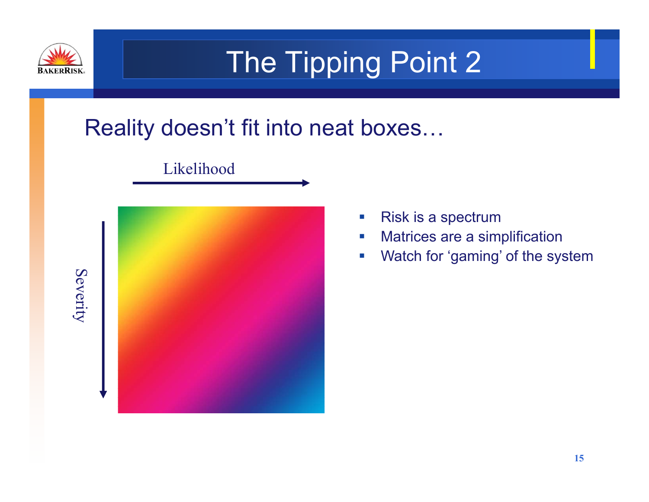

## The Tipping Point 2

#### Reality doesn't fit into neat boxes…



Likelihood

- $\mathbb{R}^3$ Risk is a spectrum
- L. Matrices are a simplification
- $\overline{\phantom{a}}$ Watch for 'gaming' of the system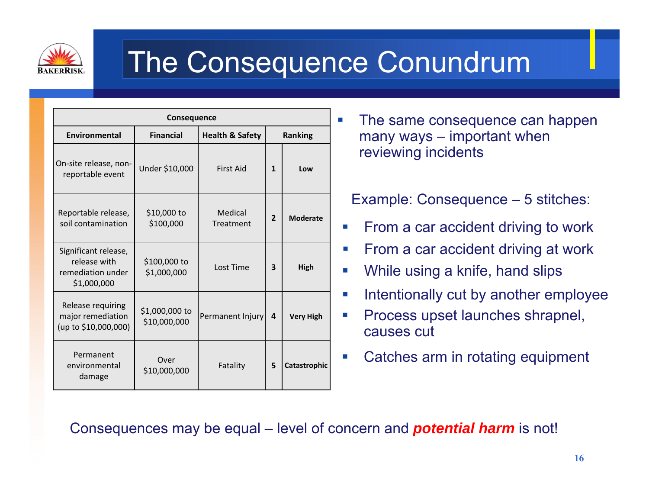

#### The Consequence Conundrum

|                                                                          | Consequence                    |                            |                |                  |
|--------------------------------------------------------------------------|--------------------------------|----------------------------|----------------|------------------|
| <b>Environmental</b>                                                     | <b>Financial</b>               | <b>Health &amp; Safety</b> |                | <b>Ranking</b>   |
| On-site release, non-<br>reportable event                                | Under \$10,000                 | <b>First Aid</b>           | 1              | Low              |
| Reportable release,<br>soil contamination                                | \$10,000 to<br>\$100,000       | Medical<br>Treatment       | $\overline{2}$ | <b>Moderate</b>  |
| Significant release,<br>release with<br>remediation under<br>\$1,000,000 | \$100,000 to<br>\$1,000,000    | Lost Time                  | 3              | High             |
| Release requiring<br>major remediation<br>(up to \$10,000,000)           | \$1,000,000 to<br>\$10,000,000 | Permanent Injury           | 4              | <b>Very High</b> |
| Permanent<br>environmental<br>damage                                     | Over<br>\$10,000,000           | Fatality                   | 5              | Catastrophic     |

 $\mathcal{C}$  The same consequence can happen many ways – important when reviewing incidents

Example: Consequence – 5 stitches:

- П From a car accident driving to work
- П From a car accident driving at work
- Г While using a knife, hand slips
- П Intentionally cut by another employee
- Г Process upset launches shrapnel, causes cut
- Г Catches arm in rotating equipment

#### Consequences may be equal – level of concern and *potential harm* is not!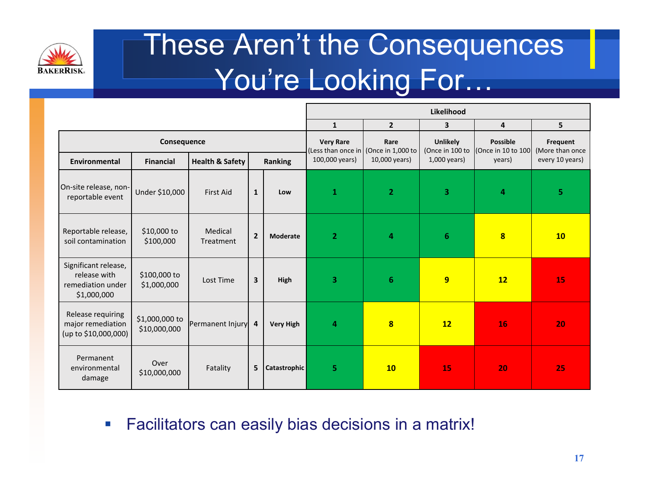

#### These Aren't the Consequences You're Looking For…

|                                                                          | Likelihood                     |                            |                         |                  |                                        |                           |                                    |                                       |                             |  |
|--------------------------------------------------------------------------|--------------------------------|----------------------------|-------------------------|------------------|----------------------------------------|---------------------------|------------------------------------|---------------------------------------|-----------------------------|--|
|                                                                          |                                |                            |                         |                  | $\mathbf{1}$                           | $\overline{2}$            | $\overline{\mathbf{3}}$            | 4                                     | 5                           |  |
|                                                                          | Consequence                    |                            |                         |                  | <b>Very Rare</b><br>(Less than once in | Rare<br>(Once in 1,000 to | <b>Unlikely</b><br>(Once in 100 to | <b>Possible</b><br>(Once in 10 to 100 | Frequent<br>(More than once |  |
| <b>Environmental</b>                                                     | <b>Financial</b>               | <b>Health &amp; Safety</b> |                         | Ranking          | 100,000 years)                         | 10,000 years)             | $1,000$ years)                     | years)                                | every 10 years)             |  |
| On-site release, non-<br>reportable event                                | Under \$10,000                 | <b>First Aid</b>           | $\mathbf{1}$            | Low              | $\mathbf{1}$                           | $\overline{2}$            | 3                                  | 4                                     | $\overline{\mathbf{5}}$     |  |
| Reportable release,<br>soil contamination                                | \$10,000 to<br>\$100,000       | Medical<br>Treatment       | $\overline{2}$          | <b>Moderate</b>  | $\overline{2}$                         | $\overline{a}$            | $6\phantom{1}$                     | $\overline{\mathbf{8}}$               | 10                          |  |
| Significant release,<br>release with<br>remediation under<br>\$1,000,000 | \$100,000 to<br>\$1,000,000    | Lost Time                  | $\overline{\mathbf{3}}$ | High             | 3                                      | 6                         | 9                                  | 12                                    | 15                          |  |
| Release requiring<br>major remediation<br>(up to \$10,000,000)           | \$1,000,000 to<br>\$10,000,000 | Permanent Injury 4         |                         | <b>Very High</b> | 4                                      | $\overline{\mathbf{8}}$   | 12                                 | 16                                    | 20                          |  |
| Permanent<br>environmental<br>damage                                     | Over<br>\$10,000,000           | Fatality                   | 5                       | Catastrophic     | 5.                                     | <b>10</b>                 | 15                                 | 20                                    | 25                          |  |

#### $\mathcal{L}_{\mathcal{A}}$ Facilitators can easily bias decisions in a matrix!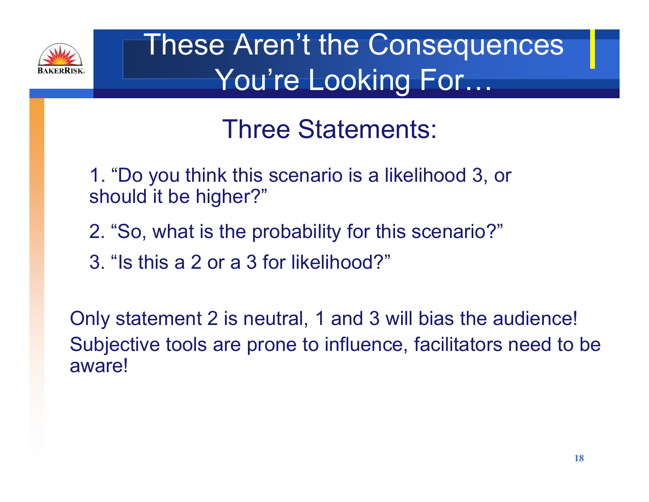

### These Aren't the Consequences You're Looking For…

#### Three Statements:

- 1. "Do you think this scenario is a likelihood 3, or should it be higher?"
- 2. "So, what is the probability for this scenario?"
- 3. "Is this a 2 or a 3 for likelihood?"

Only statement 2 is neutral, 1 and 3 will bias the audience! Subjective tools are prone to influence, facilitators need to be aware!